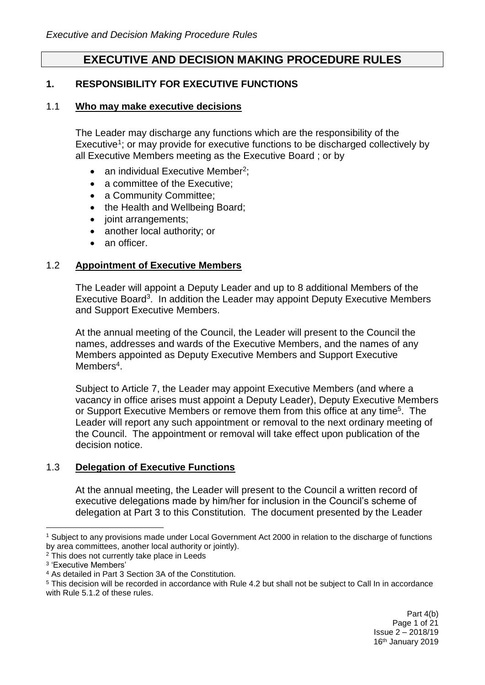# **EXECUTIVE AND DECISION MAKING PROCEDURE RULES**

## **1. RESPONSIBILITY FOR EXECUTIVE FUNCTIONS**

### 1.1 **Who may make executive decisions**

The Leader may discharge any functions which are the responsibility of the Executive<sup>1</sup>; or may provide for executive functions to be discharged collectively by all Executive Members meeting as the Executive Board ; or by

- an individual Executive Member<sup>2</sup>;
- a committee of the Executive:
- a Community Committee:
- the Health and Wellbeing Board;
- joint arrangements;
- another local authority; or
- an officer.

### 1.2 **Appointment of Executive Members**

The Leader will appoint a Deputy Leader and up to 8 additional Members of the Executive Board<sup>3</sup>. In addition the Leader may appoint Deputy Executive Members and Support Executive Members.

At the annual meeting of the Council, the Leader will present to the Council the names, addresses and wards of the Executive Members, and the names of any Members appointed as Deputy Executive Members and Support Executive Members<sup>4</sup>.

Subject to Article 7, the Leader may appoint Executive Members (and where a vacancy in office arises must appoint a Deputy Leader), Deputy Executive Members or Support Executive Members or remove them from this office at any time<sup>5</sup>. The Leader will report any such appointment or removal to the next ordinary meeting of the Council. The appointment or removal will take effect upon publication of the decision notice.

### 1.3 **Delegation of Executive Functions**

At the annual meeting, the Leader will present to the Council a written record of executive delegations made by him/her for inclusion in the Council's scheme of delegation at Part 3 to this Constitution. The document presented by the Leader

1

<sup>1</sup> Subject to any provisions made under Local Government Act 2000 in relation to the discharge of functions by area committees, another local authority or jointly).

<sup>&</sup>lt;sup>2</sup> This does not currently take place in Leeds

<sup>3</sup> 'Executive Members'

<sup>4</sup> As detailed in Part 3 Section 3A of the Constitution.

<sup>5</sup> This decision will be recorded in accordance with Rule 4.2 but shall not be subject to Call In in accordance with Rule 5.1.2 of these rules.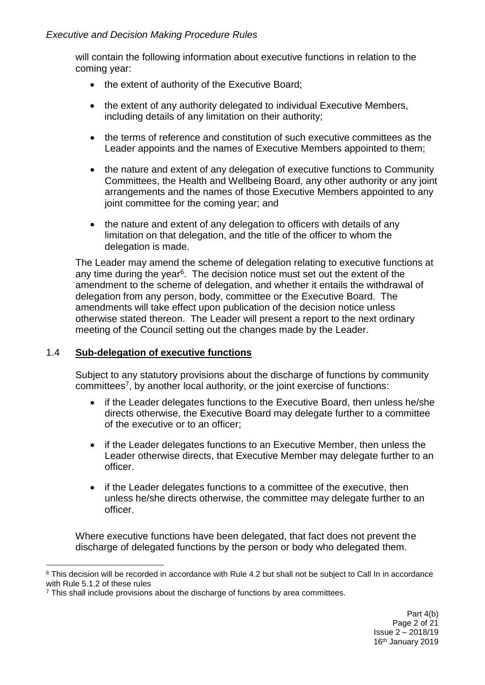will contain the following information about executive functions in relation to the coming year:

- the extent of authority of the Executive Board;
- the extent of any authority delegated to individual Executive Members, including details of any limitation on their authority;
- the terms of reference and constitution of such executive committees as the Leader appoints and the names of Executive Members appointed to them;
- the nature and extent of any delegation of executive functions to Community Committees, the Health and Wellbeing Board, any other authority or any joint arrangements and the names of those Executive Members appointed to any joint committee for the coming year; and
- the nature and extent of any delegation to officers with details of any limitation on that delegation, and the title of the officer to whom the delegation is made.

The Leader may amend the scheme of delegation relating to executive functions at any time during the year<sup>6</sup>. The decision notice must set out the extent of the amendment to the scheme of delegation, and whether it entails the withdrawal of delegation from any person, body, committee or the Executive Board. The amendments will take effect upon publication of the decision notice unless otherwise stated thereon. The Leader will present a report to the next ordinary meeting of the Council setting out the changes made by the Leader.

# 1.4 **Sub-delegation of executive functions**

Subject to any statutory provisions about the discharge of functions by community committees<sup>7</sup>, by another local authority, or the joint exercise of functions:

- if the Leader delegates functions to the Executive Board, then unless he/she directs otherwise, the Executive Board may delegate further to a committee of the executive or to an officer;
- if the Leader delegates functions to an Executive Member, then unless the Leader otherwise directs, that Executive Member may delegate further to an officer.
- if the Leader delegates functions to a committee of the executive, then unless he/she directs otherwise, the committee may delegate further to an officer.

Where executive functions have been delegated, that fact does not prevent the discharge of delegated functions by the person or body who delegated them.

<sup>1</sup> <sup>6</sup> This decision will be recorded in accordance with Rule 4.2 but shall not be subject to Call In in accordance with Rule 5.1.2 of these rules

 $7$  This shall include provisions about the discharge of functions by area committees.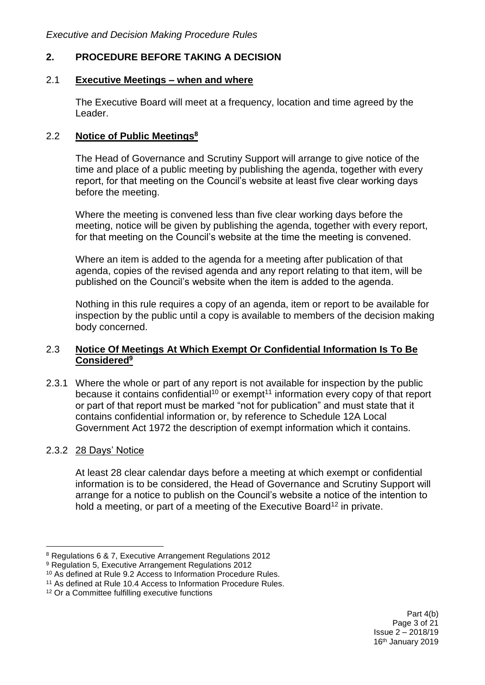# **2. PROCEDURE BEFORE TAKING A DECISION**

### 2.1 **Executive Meetings – when and where**

The Executive Board will meet at a frequency, location and time agreed by the Leader.

### 2.2 **Notice of Public Meetings<sup>8</sup>**

The Head of Governance and Scrutiny Support will arrange to give notice of the time and place of a public meeting by publishing the agenda, together with every report, for that meeting on the Council's website at least five clear working days before the meeting.

Where the meeting is convened less than five clear working days before the meeting, notice will be given by publishing the agenda, together with every report, for that meeting on the Council's website at the time the meeting is convened.

Where an item is added to the agenda for a meeting after publication of that agenda, copies of the revised agenda and any report relating to that item, will be published on the Council's website when the item is added to the agenda.

Nothing in this rule requires a copy of an agenda, item or report to be available for inspection by the public until a copy is available to members of the decision making body concerned.

### 2.3 **Notice Of Meetings At Which Exempt Or Confidential Information Is To Be Considered<sup>9</sup>**

2.3.1 Where the whole or part of any report is not available for inspection by the public because it contains confidential<sup>10</sup> or exempt<sup>11</sup> information every copy of that report or part of that report must be marked "not for publication" and must state that it contains confidential information or, by reference to Schedule 12A Local Government Act 1972 the description of exempt information which it contains.

### 2.3.2 28 Days' Notice

1

At least 28 clear calendar days before a meeting at which exempt or confidential information is to be considered, the Head of Governance and Scrutiny Support will arrange for a notice to publish on the Council's website a notice of the intention to hold a meeting, or part of a meeting of the Executive Board<sup>12</sup> in private.

<sup>8</sup> Regulations 6 & 7, Executive Arrangement Regulations 2012

<sup>9</sup> Regulation 5, Executive Arrangement Regulations 2012

<sup>10</sup> As defined at Rule 9.2 Access to Information Procedure Rules.

<sup>11</sup> As defined at Rule 10.4 Access to Information Procedure Rules.

<sup>&</sup>lt;sup>12</sup> Or a Committee fulfilling executive functions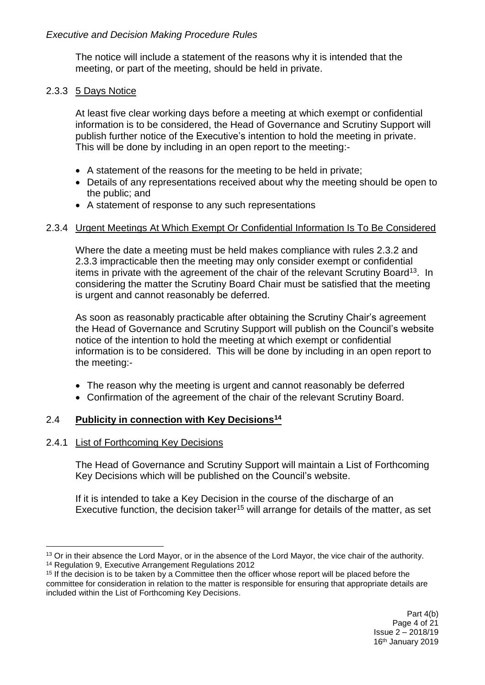The notice will include a statement of the reasons why it is intended that the meeting, or part of the meeting, should be held in private.

### 2.3.3 5 Days Notice

At least five clear working days before a meeting at which exempt or confidential information is to be considered, the Head of Governance and Scrutiny Support will publish further notice of the Executive's intention to hold the meeting in private. This will be done by including in an open report to the meeting:-

- A statement of the reasons for the meeting to be held in private;
- Details of any representations received about why the meeting should be open to the public; and
- A statement of response to any such representations

#### 2.3.4 Urgent Meetings At Which Exempt Or Confidential Information Is To Be Considered

Where the date a meeting must be held makes compliance with rules 2.3.2 and 2.3.3 impracticable then the meeting may only consider exempt or confidential items in private with the agreement of the chair of the relevant Scrutiny Board<sup>13</sup>. In considering the matter the Scrutiny Board Chair must be satisfied that the meeting is urgent and cannot reasonably be deferred.

As soon as reasonably practicable after obtaining the Scrutiny Chair's agreement the Head of Governance and Scrutiny Support will publish on the Council's website notice of the intention to hold the meeting at which exempt or confidential information is to be considered. This will be done by including in an open report to the meeting:-

- The reason why the meeting is urgent and cannot reasonably be deferred
- Confirmation of the agreement of the chair of the relevant Scrutiny Board.

### 2.4 **Publicity in connection with Key Decisions<sup>14</sup>**

#### 2.4.1 List of Forthcoming Key Decisions

The Head of Governance and Scrutiny Support will maintain a List of Forthcoming Key Decisions which will be published on the Council's website.

If it is intended to take a Key Decision in the course of the discharge of an Executive function, the decision taker<sup>15</sup> will arrange for details of the matter, as set

<sup>1</sup> <sup>13</sup> Or in their absence the Lord Mayor, or in the absence of the Lord Mayor, the vice chair of the authority. <sup>14</sup> Regulation 9, Executive Arrangement Regulations 2012

 $15$  If the decision is to be taken by a Committee then the officer whose report will be placed before the committee for consideration in relation to the matter is responsible for ensuring that appropriate details are included within the List of Forthcoming Key Decisions.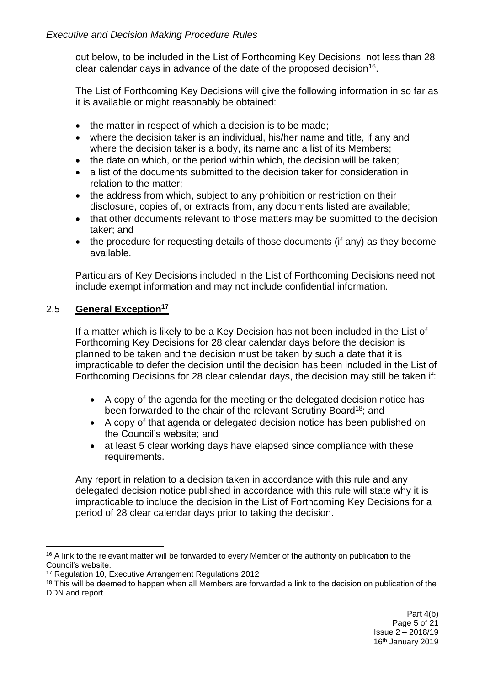out below, to be included in the List of Forthcoming Key Decisions, not less than 28 clear calendar days in advance of the date of the proposed decision<sup>16</sup>.

The List of Forthcoming Key Decisions will give the following information in so far as it is available or might reasonably be obtained:

- the matter in respect of which a decision is to be made;
- where the decision taker is an individual, his/her name and title, if any and where the decision taker is a body, its name and a list of its Members;
- the date on which, or the period within which, the decision will be taken:
- a list of the documents submitted to the decision taker for consideration in relation to the matter;
- the address from which, subject to any prohibition or restriction on their disclosure, copies of, or extracts from, any documents listed are available;
- that other documents relevant to those matters may be submitted to the decision taker; and
- the procedure for requesting details of those documents (if any) as they become available.

Particulars of Key Decisions included in the List of Forthcoming Decisions need not include exempt information and may not include confidential information.

# 2.5 **General Exception<sup>17</sup>**

If a matter which is likely to be a Key Decision has not been included in the List of Forthcoming Key Decisions for 28 clear calendar days before the decision is planned to be taken and the decision must be taken by such a date that it is impracticable to defer the decision until the decision has been included in the List of Forthcoming Decisions for 28 clear calendar days, the decision may still be taken if:

- A copy of the agenda for the meeting or the delegated decision notice has been forwarded to the chair of the relevant Scrutiny Board<sup>18</sup>; and
- A copy of that agenda or delegated decision notice has been published on the Council's website; and
- at least 5 clear working days have elapsed since compliance with these requirements.

Any report in relation to a decision taken in accordance with this rule and any delegated decision notice published in accordance with this rule will state why it is impracticable to include the decision in the List of Forthcoming Key Decisions for a period of 28 clear calendar days prior to taking the decision.

<sup>1</sup> <sup>16</sup> A link to the relevant matter will be forwarded to every Member of the authority on publication to the Council's website.

<sup>17</sup> Regulation 10, Executive Arrangement Regulations 2012

<sup>&</sup>lt;sup>18</sup> This will be deemed to happen when all Members are forwarded a link to the decision on publication of the DDN and report.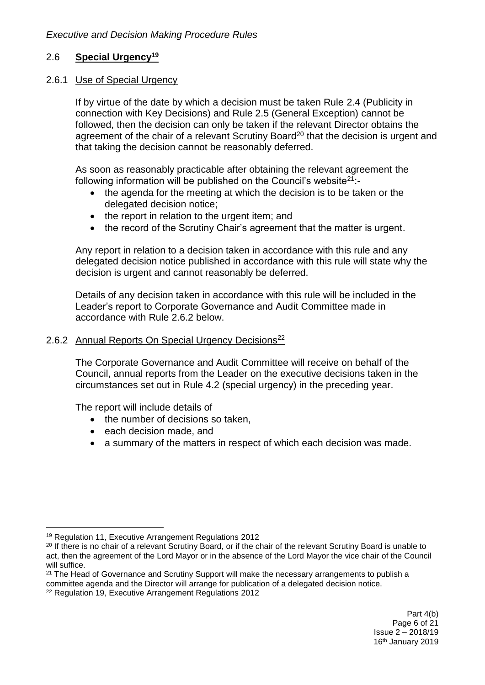# 2.6 **Special Urgency<sup>19</sup>**

### 2.6.1 Use of Special Urgency

If by virtue of the date by which a decision must be taken Rule 2.4 (Publicity in connection with Key Decisions) and Rule 2.5 (General Exception) cannot be followed, then the decision can only be taken if the relevant Director obtains the agreement of the chair of a relevant Scrutiny Board<sup>20</sup> that the decision is urgent and that taking the decision cannot be reasonably deferred.

As soon as reasonably practicable after obtaining the relevant agreement the following information will be published on the Council's website  $21$ :-

- the agenda for the meeting at which the decision is to be taken or the delegated decision notice;
- $\bullet$  the report in relation to the urgent item; and
- the record of the Scrutiny Chair's agreement that the matter is urgent.

Any report in relation to a decision taken in accordance with this rule and any delegated decision notice published in accordance with this rule will state why the decision is urgent and cannot reasonably be deferred.

Details of any decision taken in accordance with this rule will be included in the Leader's report to Corporate Governance and Audit Committee made in accordance with Rule 2.6.2 below.

### 2.6.2 Annual Reports On Special Urgency Decisions<sup>22</sup>

The Corporate Governance and Audit Committee will receive on behalf of the Council, annual reports from the Leader on the executive decisions taken in the circumstances set out in Rule 4.2 (special urgency) in the preceding year.

The report will include details of

- the number of decisions so taken,
- each decision made, and
- a summary of the matters in respect of which each decision was made.

<sup>1</sup> <sup>19</sup> Regulation 11, Executive Arrangement Regulations 2012

<sup>&</sup>lt;sup>20</sup> If there is no chair of a relevant Scrutiny Board, or if the chair of the relevant Scrutiny Board is unable to act, then the agreement of the Lord Mayor or in the absence of the Lord Mayor the vice chair of the Council will suffice.

<sup>&</sup>lt;sup>21</sup> The Head of Governance and Scrutiny Support will make the necessary arrangements to publish a committee agenda and the Director will arrange for publication of a delegated decision notice.

<sup>22</sup> Regulation 19, Executive Arrangement Regulations 2012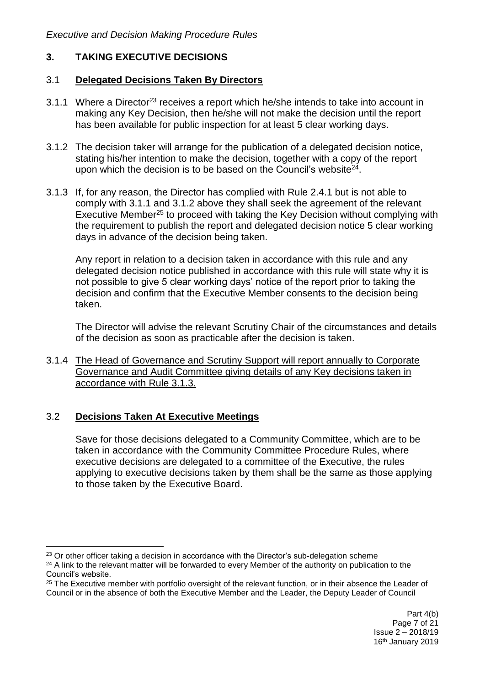## **3. TAKING EXECUTIVE DECISIONS**

#### 3.1 **Delegated Decisions Taken By Directors**

- 3.1.1 Where a Director<sup>23</sup> receives a report which he/she intends to take into account in making any Key Decision, then he/she will not make the decision until the report has been available for public inspection for at least 5 clear working days.
- 3.1.2 The decision taker will arrange for the publication of a delegated decision notice, stating his/her intention to make the decision, together with a copy of the report upon which the decision is to be based on the Council's website $24$ .
- 3.1.3 If, for any reason, the Director has complied with Rule 2.4.1 but is not able to comply with 3.1.1 and 3.1.2 above they shall seek the agreement of the relevant Executive Member<sup>25</sup> to proceed with taking the Key Decision without complying with the requirement to publish the report and delegated decision notice 5 clear working days in advance of the decision being taken.

Any report in relation to a decision taken in accordance with this rule and any delegated decision notice published in accordance with this rule will state why it is not possible to give 5 clear working days' notice of the report prior to taking the decision and confirm that the Executive Member consents to the decision being taken.

The Director will advise the relevant Scrutiny Chair of the circumstances and details of the decision as soon as practicable after the decision is taken.

3.1.4 The Head of Governance and Scrutiny Support will report annually to Corporate Governance and Audit Committee giving details of any Key decisions taken in accordance with Rule 3.1.3.

### 3.2 **Decisions Taken At Executive Meetings**

1

Save for those decisions delegated to a Community Committee, which are to be taken in accordance with the Community Committee Procedure Rules, where executive decisions are delegated to a committee of the Executive, the rules applying to executive decisions taken by them shall be the same as those applying to those taken by the Executive Board.

<sup>&</sup>lt;sup>23</sup> Or other officer taking a decision in accordance with the Director's sub-delegation scheme

<sup>&</sup>lt;sup>24</sup> A link to the relevant matter will be forwarded to every Member of the authority on publication to the Council's website.

<sup>&</sup>lt;sup>25</sup> The Executive member with portfolio oversight of the relevant function, or in their absence the Leader of Council or in the absence of both the Executive Member and the Leader, the Deputy Leader of Council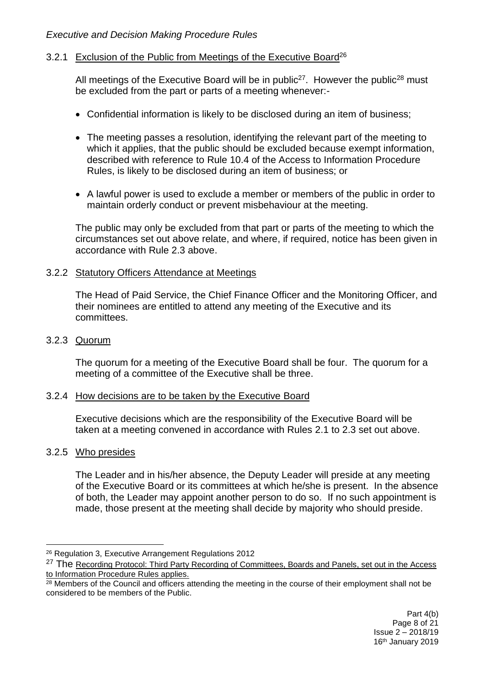### 3.2.1 Exclusion of the Public from Meetings of the Executive Board<sup>26</sup>

All meetings of the Executive Board will be in public<sup>27</sup>. However the public<sup>28</sup> must be excluded from the part or parts of a meeting whenever:-

- Confidential information is likely to be disclosed during an item of business;
- The meeting passes a resolution, identifying the relevant part of the meeting to which it applies, that the public should be excluded because exempt information, described with reference to Rule 10.4 of the Access to Information Procedure Rules, is likely to be disclosed during an item of business; or
- A lawful power is used to exclude a member or members of the public in order to maintain orderly conduct or prevent misbehaviour at the meeting.

The public may only be excluded from that part or parts of the meeting to which the circumstances set out above relate, and where, if required, notice has been given in accordance with Rule 2.3 above.

## 3.2.2 Statutory Officers Attendance at Meetings

The Head of Paid Service, the Chief Finance Officer and the Monitoring Officer, and their nominees are entitled to attend any meeting of the Executive and its committees.

#### 3.2.3 Quorum

The quorum for a meeting of the Executive Board shall be four. The quorum for a meeting of a committee of the Executive shall be three.

#### 3.2.4 How decisions are to be taken by the Executive Board

Executive decisions which are the responsibility of the Executive Board will be taken at a meeting convened in accordance with Rules 2.1 to 2.3 set out above.

### 3.2.5 Who presides

<u>.</u>

The Leader and in his/her absence, the Deputy Leader will preside at any meeting of the Executive Board or its committees at which he/she is present. In the absence of both, the Leader may appoint another person to do so. If no such appointment is made, those present at the meeting shall decide by majority who should preside.

<sup>26</sup> Regulation 3, Executive Arrangement Regulations 2012

<sup>&</sup>lt;sup>27</sup> The Recording Protocol: Third Party Recording of Committees, Boards and Panels, set out in the Access to Information Procedure Rules applies.

 $28$  Members of the Council and officers attending the meeting in the course of their employment shall not be considered to be members of the Public.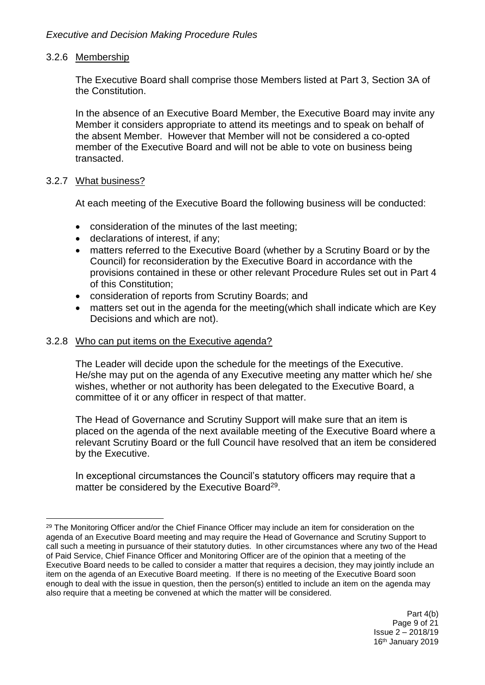### 3.2.6 Membership

The Executive Board shall comprise those Members listed at Part 3, Section 3A of the Constitution.

In the absence of an Executive Board Member, the Executive Board may invite any Member it considers appropriate to attend its meetings and to speak on behalf of the absent Member. However that Member will not be considered a co-opted member of the Executive Board and will not be able to vote on business being transacted.

### 3.2.7 What business?

1

At each meeting of the Executive Board the following business will be conducted:

- consideration of the minutes of the last meeting;
- declarations of interest, if any;
- matters referred to the Executive Board (whether by a Scrutiny Board or by the Council) for reconsideration by the Executive Board in accordance with the provisions contained in these or other relevant Procedure Rules set out in Part 4 of this Constitution;
- consideration of reports from Scrutiny Boards; and
- matters set out in the agenda for the meeting(which shall indicate which are Key Decisions and which are not).

### 3.2.8 Who can put items on the Executive agenda?

The Leader will decide upon the schedule for the meetings of the Executive. He/she may put on the agenda of any Executive meeting any matter which he/ she wishes, whether or not authority has been delegated to the Executive Board, a committee of it or any officer in respect of that matter.

The Head of Governance and Scrutiny Support will make sure that an item is placed on the agenda of the next available meeting of the Executive Board where a relevant Scrutiny Board or the full Council have resolved that an item be considered by the Executive.

In exceptional circumstances the Council's statutory officers may require that a matter be considered by the Executive Board<sup>29</sup>.

<sup>&</sup>lt;sup>29</sup> The Monitoring Officer and/or the Chief Finance Officer may include an item for consideration on the agenda of an Executive Board meeting and may require the Head of Governance and Scrutiny Support to call such a meeting in pursuance of their statutory duties. In other circumstances where any two of the Head of Paid Service, Chief Finance Officer and Monitoring Officer are of the opinion that a meeting of the Executive Board needs to be called to consider a matter that requires a decision, they may jointly include an item on the agenda of an Executive Board meeting. If there is no meeting of the Executive Board soon enough to deal with the issue in question, then the person(s) entitled to include an item on the agenda may also require that a meeting be convened at which the matter will be considered.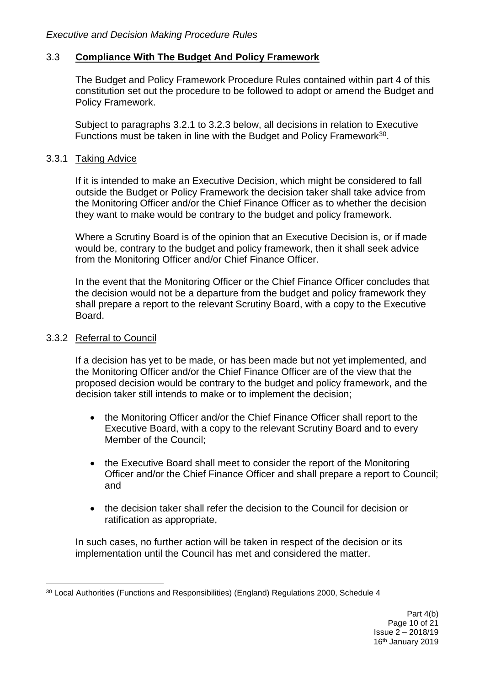### 3.3 **Compliance With The Budget And Policy Framework**

The Budget and Policy Framework Procedure Rules contained within part 4 of this constitution set out the procedure to be followed to adopt or amend the Budget and Policy Framework.

Subject to paragraphs 3.2.1 to 3.2.3 below, all decisions in relation to Executive Functions must be taken in line with the Budget and Policy Framework<sup>30</sup>.

### 3.3.1 Taking Advice

If it is intended to make an Executive Decision, which might be considered to fall outside the Budget or Policy Framework the decision taker shall take advice from the Monitoring Officer and/or the Chief Finance Officer as to whether the decision they want to make would be contrary to the budget and policy framework.

Where a Scrutiny Board is of the opinion that an Executive Decision is, or if made would be, contrary to the budget and policy framework, then it shall seek advice from the Monitoring Officer and/or Chief Finance Officer.

In the event that the Monitoring Officer or the Chief Finance Officer concludes that the decision would not be a departure from the budget and policy framework they shall prepare a report to the relevant Scrutiny Board, with a copy to the Executive Board.

### 3.3.2 Referral to Council

If a decision has yet to be made, or has been made but not yet implemented, and the Monitoring Officer and/or the Chief Finance Officer are of the view that the proposed decision would be contrary to the budget and policy framework, and the decision taker still intends to make or to implement the decision;

- the Monitoring Officer and/or the Chief Finance Officer shall report to the Executive Board, with a copy to the relevant Scrutiny Board and to every Member of the Council;
- the Executive Board shall meet to consider the report of the Monitoring Officer and/or the Chief Finance Officer and shall prepare a report to Council; and
- the decision taker shall refer the decision to the Council for decision or ratification as appropriate,

In such cases, no further action will be taken in respect of the decision or its implementation until the Council has met and considered the matter.

<sup>&</sup>lt;u>.</u> <sup>30</sup> Local Authorities (Functions and Responsibilities) (England) Regulations 2000, Schedule 4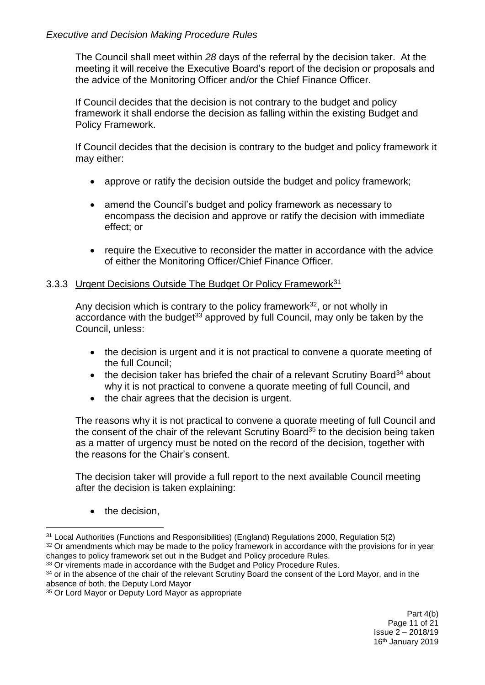The Council shall meet within *28* days of the referral by the decision taker. At the meeting it will receive the Executive Board's report of the decision or proposals and the advice of the Monitoring Officer and/or the Chief Finance Officer.

If Council decides that the decision is not contrary to the budget and policy framework it shall endorse the decision as falling within the existing Budget and Policy Framework.

If Council decides that the decision is contrary to the budget and policy framework it may either:

- approve or ratify the decision outside the budget and policy framework;
- amend the Council's budget and policy framework as necessary to encompass the decision and approve or ratify the decision with immediate effect; or
- require the Executive to reconsider the matter in accordance with the advice of either the Monitoring Officer/Chief Finance Officer.

# 3.3.3 Urgent Decisions Outside The Budget Or Policy Framework<sup>31</sup>

Any decision which is contrary to the policy framework $32$ , or not wholly in accordance with the budget<sup>33</sup> approved by full Council, may only be taken by the Council, unless:

- the decision is urgent and it is not practical to convene a quorate meeting of the full Council;
- $\bullet$  the decision taker has briefed the chair of a relevant Scrutiny Board<sup>34</sup> about why it is not practical to convene a quorate meeting of full Council, and
- the chair agrees that the decision is urgent.

The reasons why it is not practical to convene a quorate meeting of full Council and the consent of the chair of the relevant Scrutiny Board<sup>35</sup> to the decision being taken as a matter of urgency must be noted on the record of the decision, together with the reasons for the Chair's consent.

The decision taker will provide a full report to the next available Council meeting after the decision is taken explaining:

• the decision,

<sup>1</sup> <sup>31</sup> Local Authorities (Functions and Responsibilities) (England) Regulations 2000, Regulation 5(2)

<sup>&</sup>lt;sup>32</sup> Or amendments which may be made to the policy framework in accordance with the provisions for in year changes to policy framework set out in the Budget and Policy procedure Rules.

<sup>&</sup>lt;sup>33</sup> Or virements made in accordance with the Budget and Policy Procedure Rules.

<sup>&</sup>lt;sup>34</sup> or in the absence of the chair of the relevant Scrutiny Board the consent of the Lord Mayor, and in the absence of both, the Deputy Lord Mayor

<sup>&</sup>lt;sup>35</sup> Or Lord Mayor or Deputy Lord Mayor as appropriate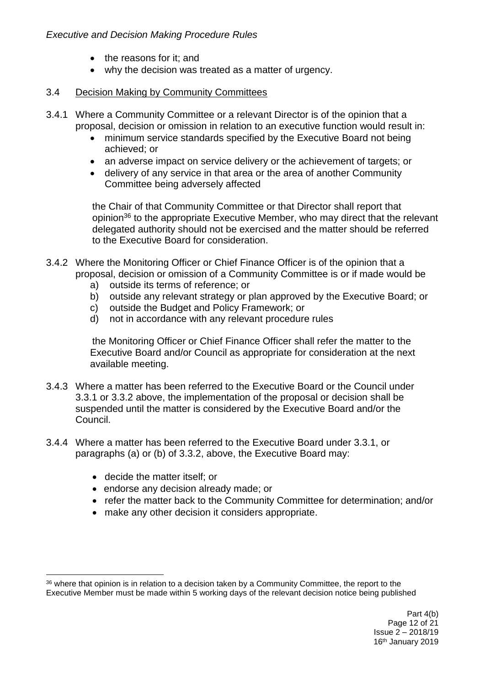- the reasons for it; and
- why the decision was treated as a matter of urgency.

### 3.4 Decision Making by Community Committees

- 3.4.1 Where a Community Committee or a relevant Director is of the opinion that a proposal, decision or omission in relation to an executive function would result in:
	- minimum service standards specified by the Executive Board not being achieved; or
	- an adverse impact on service delivery or the achievement of targets; or
	- delivery of any service in that area or the area of another Community Committee being adversely affected

the Chair of that Community Committee or that Director shall report that opinion<sup>36</sup> to the appropriate Executive Member, who may direct that the relevant delegated authority should not be exercised and the matter should be referred to the Executive Board for consideration.

- 3.4.2 Where the Monitoring Officer or Chief Finance Officer is of the opinion that a proposal, decision or omission of a Community Committee is or if made would be
	- a) outside its terms of reference; or
	- b) outside any relevant strategy or plan approved by the Executive Board; or
	- c) outside the Budget and Policy Framework; or
	- d) not in accordance with any relevant procedure rules

the Monitoring Officer or Chief Finance Officer shall refer the matter to the Executive Board and/or Council as appropriate for consideration at the next available meeting.

- 3.4.3 Where a matter has been referred to the Executive Board or the Council under 3.3.1 or 3.3.2 above, the implementation of the proposal or decision shall be suspended until the matter is considered by the Executive Board and/or the Council.
- 3.4.4 Where a matter has been referred to the Executive Board under 3.3.1, or paragraphs (a) or (b) of 3.3.2, above, the Executive Board may:
	- decide the matter itself; or
	- endorse any decision already made; or
	- refer the matter back to the Community Committee for determination; and/or
	- make any other decision it considers appropriate.

<sup>1</sup> <sup>36</sup> where that opinion is in relation to a decision taken by a Community Committee, the report to the Executive Member must be made within 5 working days of the relevant decision notice being published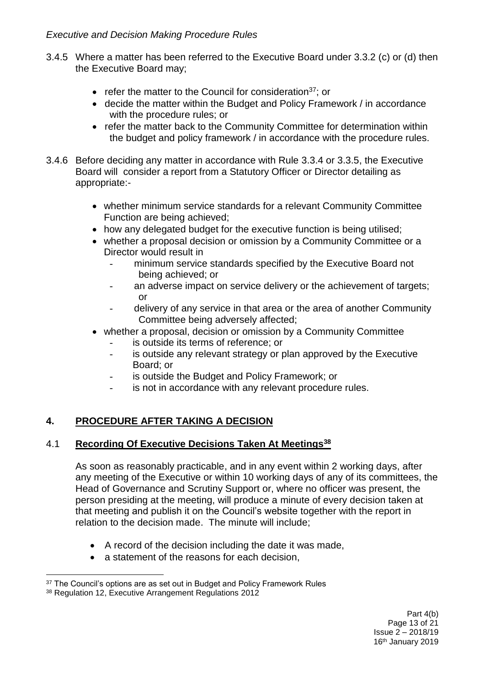- 3.4.5 Where a matter has been referred to the Executive Board under 3.3.2 (c) or (d) then the Executive Board may;
	- refer the matter to the Council for consideration<sup>37</sup>; or
	- decide the matter within the Budget and Policy Framework / in accordance with the procedure rules; or
	- refer the matter back to the Community Committee for determination within the budget and policy framework / in accordance with the procedure rules.
- 3.4.6 Before deciding any matter in accordance with Rule 3.3.4 or 3.3.5, the Executive Board will consider a report from a Statutory Officer or Director detailing as appropriate:
	- whether minimum service standards for a relevant Community Committee Function are being achieved;
	- how any delegated budget for the executive function is being utilised;
	- whether a proposal decision or omission by a Community Committee or a Director would result in
		- minimum service standards specified by the Executive Board not being achieved; or
		- an adverse impact on service delivery or the achievement of targets; or
		- delivery of any service in that area or the area of another Community Committee being adversely affected;
	- whether a proposal, decision or omission by a Community Committee
		- is outside its terms of reference; or
		- is outside any relevant strategy or plan approved by the Executive Board; or
		- is outside the Budget and Policy Framework; or
		- is not in accordance with any relevant procedure rules.

# **4. PROCEDURE AFTER TAKING A DECISION**

# 4.1 **Recording Of Executive Decisions Taken At Meetings<sup>38</sup>**

As soon as reasonably practicable, and in any event within 2 working days, after any meeting of the Executive or within 10 working days of any of its committees, the Head of Governance and Scrutiny Support or, where no officer was present, the person presiding at the meeting, will produce a minute of every decision taken at that meeting and publish it on the Council's website together with the report in relation to the decision made. The minute will include;

- A record of the decision including the date it was made,
- a statement of the reasons for each decision.

<sup>1</sup> <sup>37</sup> The Council's options are as set out in Budget and Policy Framework Rules

<sup>38</sup> Regulation 12, Executive Arrangement Regulations 2012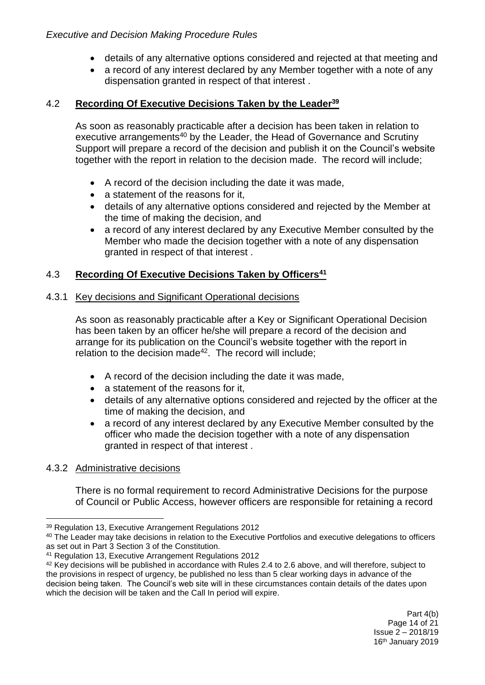- details of any alternative options considered and rejected at that meeting and
- a record of any interest declared by any Member together with a note of any dispensation granted in respect of that interest .

# 4.2 **Recording Of Executive Decisions Taken by the Leader<sup>39</sup>**

As soon as reasonably practicable after a decision has been taken in relation to executive arrangements<sup>40</sup> by the Leader, the Head of Governance and Scrutiny Support will prepare a record of the decision and publish it on the Council's website together with the report in relation to the decision made. The record will include;

- A record of the decision including the date it was made,
- a statement of the reasons for it,
- details of any alternative options considered and rejected by the Member at the time of making the decision, and
- a record of any interest declared by any Executive Member consulted by the Member who made the decision together with a note of any dispensation granted in respect of that interest .

# 4.3 **Recording Of Executive Decisions Taken by Officers<sup>41</sup>**

# 4.3.1 Key decisions and Significant Operational decisions

As soon as reasonably practicable after a Key or Significant Operational Decision has been taken by an officer he/she will prepare a record of the decision and arrange for its publication on the Council's website together with the report in relation to the decision made<sup>42</sup>. The record will include;

- A record of the decision including the date it was made,
- a statement of the reasons for it.
- details of any alternative options considered and rejected by the officer at the time of making the decision, and
- a record of any interest declared by any Executive Member consulted by the officer who made the decision together with a note of any dispensation granted in respect of that interest .

# 4.3.2 Administrative decisions

There is no formal requirement to record Administrative Decisions for the purpose of Council or Public Access, however officers are responsible for retaining a record

<sup>1</sup> <sup>39</sup> Regulation 13, Executive Arrangement Regulations 2012

<sup>40</sup> The Leader may take decisions in relation to the Executive Portfolios and executive delegations to officers as set out in Part 3 Section 3 of the Constitution.

<sup>41</sup> Regulation 13, Executive Arrangement Regulations 2012

<sup>&</sup>lt;sup>42</sup> Key decisions will be published in accordance with Rules 2.4 to 2.6 above, and will therefore, subject to the provisions in respect of urgency, be published no less than 5 clear working days in advance of the decision being taken. The Council's web site will in these circumstances contain details of the dates upon which the decision will be taken and the Call In period will expire.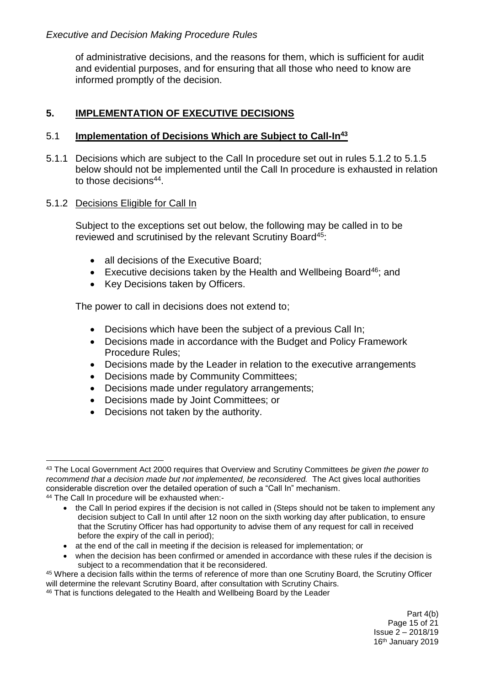of administrative decisions, and the reasons for them, which is sufficient for audit and evidential purposes, and for ensuring that all those who need to know are informed promptly of the decision.

## **5. IMPLEMENTATION OF EXECUTIVE DECISIONS**

### 5.1 **Implementation of Decisions Which are Subject to Call-In<sup>43</sup>**

5.1.1 Decisions which are subject to the Call In procedure set out in rules 5.1.2 to 5.1.5 below should not be implemented until the Call In procedure is exhausted in relation to those decisions<sup>44</sup>.

#### 5.1.2 Decisions Eligible for Call In

Subject to the exceptions set out below, the following may be called in to be reviewed and scrutinised by the relevant Scrutiny Board<sup>45</sup>:

- all decisions of the Executive Board:
- Executive decisions taken by the Health and Wellbeing Board<sup>46</sup>; and
- Key Decisions taken by Officers.

The power to call in decisions does not extend to;

- Decisions which have been the subject of a previous Call In;
- Decisions made in accordance with the Budget and Policy Framework Procedure Rules;
- Decisions made by the Leader in relation to the executive arrangements
- Decisions made by Community Committees;
- Decisions made under regulatory arrangements;
- Decisions made by Joint Committees; or
- Decisions not taken by the authority.

 when the decision has been confirmed or amended in accordance with these rules if the decision is subject to a recommendation that it be reconsidered.

<sup>1</sup> <sup>43</sup> The Local Government Act 2000 requires that Overview and Scrutiny Committees *be given the power to recommend that a decision made but not implemented, be reconsidered.* The Act gives local authorities considerable discretion over the detailed operation of such a "Call In" mechanism.

<sup>44</sup> The Call In procedure will be exhausted when:-

<sup>•</sup> the Call In period expires if the decision is not called in (Steps should not be taken to implement any decision subject to Call In until after 12 noon on the sixth working day after publication, to ensure that the Scrutiny Officer has had opportunity to advise them of any request for call in received before the expiry of the call in period);

at the end of the call in meeting if the decision is released for implementation; or

<sup>45</sup> Where a decision falls within the terms of reference of more than one Scrutiny Board, the Scrutiny Officer will determine the relevant Scrutiny Board, after consultation with Scrutiny Chairs.

<sup>&</sup>lt;sup>46</sup> That is functions delegated to the Health and Wellbeing Board by the Leader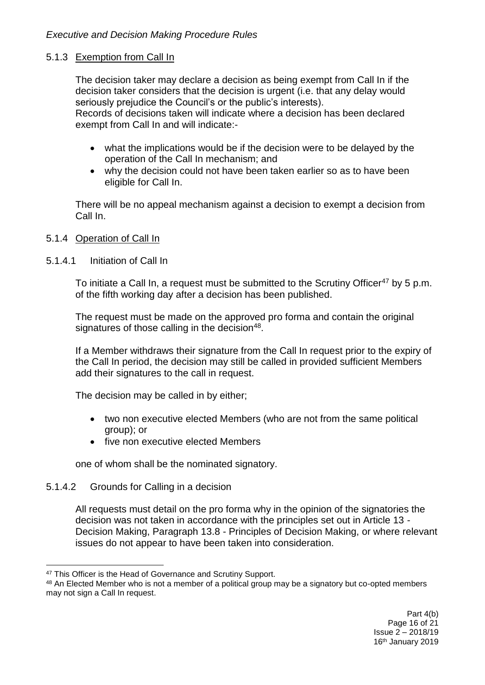### 5.1.3 Exemption from Call In

The decision taker may declare a decision as being exempt from Call In if the decision taker considers that the decision is urgent (i.e. that any delay would seriously prejudice the Council's or the public's interests). Records of decisions taken will indicate where a decision has been declared exempt from Call In and will indicate:-

- what the implications would be if the decision were to be delayed by the operation of the Call In mechanism; and
- why the decision could not have been taken earlier so as to have been eligible for Call In.

There will be no appeal mechanism against a decision to exempt a decision from Call In.

### 5.1.4 Operation of Call In

### 5.1.4.1 Initiation of Call In

To initiate a Call In, a request must be submitted to the Scrutiny Officer<sup>47</sup> by 5 p.m. of the fifth working day after a decision has been published.

The request must be made on the approved pro forma and contain the original signatures of those calling in the decision<sup>48</sup>.

If a Member withdraws their signature from the Call In request prior to the expiry of the Call In period, the decision may still be called in provided sufficient Members add their signatures to the call in request.

The decision may be called in by either;

- two non executive elected Members (who are not from the same political group); or
- five non executive elected Members

one of whom shall be the nominated signatory.

# 5.1.4.2 Grounds for Calling in a decision

1

All requests must detail on the pro forma why in the opinion of the signatories the decision was not taken in accordance with the principles set out in Article 13 - Decision Making, Paragraph 13.8 - Principles of Decision Making, or where relevant issues do not appear to have been taken into consideration.

<sup>47</sup> This Officer is the Head of Governance and Scrutiny Support.

<sup>48</sup> An Elected Member who is not a member of a political group may be a signatory but co-opted members may not sign a Call In request.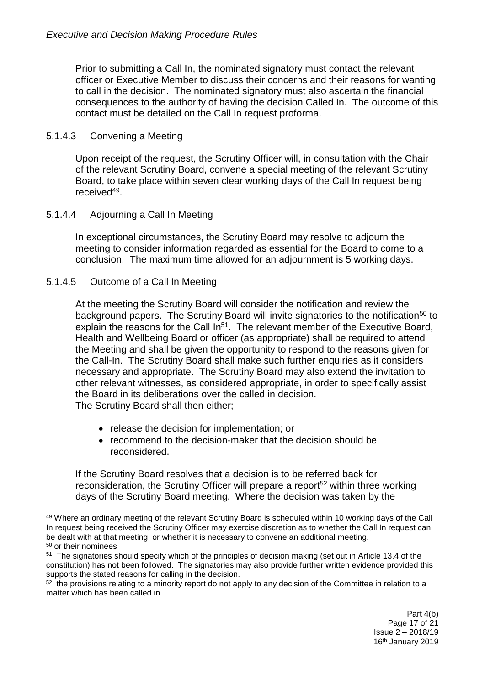Prior to submitting a Call In, the nominated signatory must contact the relevant officer or Executive Member to discuss their concerns and their reasons for wanting to call in the decision. The nominated signatory must also ascertain the financial consequences to the authority of having the decision Called In. The outcome of this contact must be detailed on the Call In request proforma.

### 5.1.4.3 Convening a Meeting

Upon receipt of the request, the Scrutiny Officer will, in consultation with the Chair of the relevant Scrutiny Board, convene a special meeting of the relevant Scrutiny Board, to take place within seven clear working days of the Call In request being received<sup>49</sup>.

### 5.1.4.4 Adjourning a Call In Meeting

In exceptional circumstances, the Scrutiny Board may resolve to adjourn the meeting to consider information regarded as essential for the Board to come to a conclusion. The maximum time allowed for an adjournment is 5 working days.

### 5.1.4.5 Outcome of a Call In Meeting

1

At the meeting the Scrutiny Board will consider the notification and review the background papers. The Scrutiny Board will invite signatories to the notification<sup>50</sup> to explain the reasons for the Call  $\text{In}^{51}$ . The relevant member of the Executive Board, Health and Wellbeing Board or officer (as appropriate) shall be required to attend the Meeting and shall be given the opportunity to respond to the reasons given for the Call-In. The Scrutiny Board shall make such further enquiries as it considers necessary and appropriate. The Scrutiny Board may also extend the invitation to other relevant witnesses, as considered appropriate, in order to specifically assist the Board in its deliberations over the called in decision. The Scrutiny Board shall then either;

- release the decision for implementation; or
- recommend to the decision-maker that the decision should be reconsidered.

If the Scrutiny Board resolves that a decision is to be referred back for reconsideration, the Scrutiny Officer will prepare a report<sup>52</sup> within three working days of the Scrutiny Board meeting. Where the decision was taken by the

<sup>49</sup> Where an ordinary meeting of the relevant Scrutiny Board is scheduled within 10 working days of the Call In request being received the Scrutiny Officer may exercise discretion as to whether the Call In request can be dealt with at that meeting, or whether it is necessary to convene an additional meeting. <sup>50</sup> or their nominees

<sup>&</sup>lt;sup>51</sup> The signatories should specify which of the principles of decision making (set out in Article 13.4 of the

constitution) has not been followed. The signatories may also provide further written evidence provided this supports the stated reasons for calling in the decision.

 $52$  the provisions relating to a minority report do not apply to any decision of the Committee in relation to a matter which has been called in.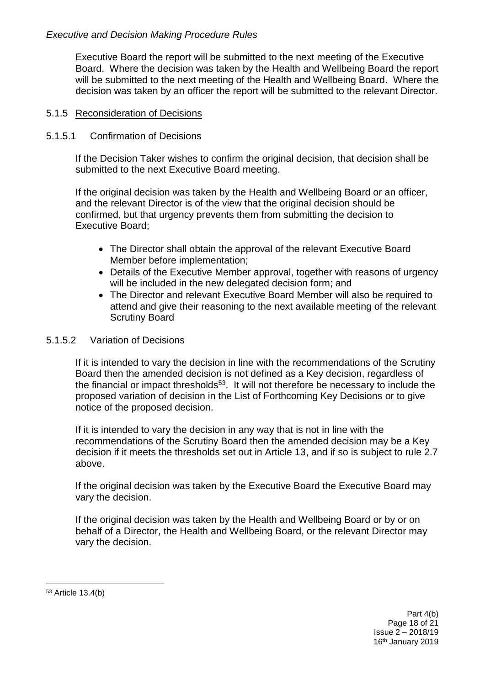Executive Board the report will be submitted to the next meeting of the Executive Board. Where the decision was taken by the Health and Wellbeing Board the report will be submitted to the next meeting of the Health and Wellbeing Board. Where the decision was taken by an officer the report will be submitted to the relevant Director.

## 5.1.5 Reconsideration of Decisions

### 5.1.5.1 Confirmation of Decisions

If the Decision Taker wishes to confirm the original decision, that decision shall be submitted to the next Executive Board meeting.

If the original decision was taken by the Health and Wellbeing Board or an officer, and the relevant Director is of the view that the original decision should be confirmed, but that urgency prevents them from submitting the decision to Executive Board;

- The Director shall obtain the approval of the relevant Executive Board Member before implementation;
- Details of the Executive Member approval, together with reasons of urgency will be included in the new delegated decision form; and
- The Director and relevant Executive Board Member will also be required to attend and give their reasoning to the next available meeting of the relevant Scrutiny Board

### 5.1.5.2 Variation of Decisions

If it is intended to vary the decision in line with the recommendations of the Scrutiny Board then the amended decision is not defined as a Key decision, regardless of the financial or impact thresholds<sup>53</sup>. It will not therefore be necessary to include the proposed variation of decision in the List of Forthcoming Key Decisions or to give notice of the proposed decision.

If it is intended to vary the decision in any way that is not in line with the recommendations of the Scrutiny Board then the amended decision may be a Key decision if it meets the thresholds set out in Article 13, and if so is subject to rule 2.7 above.

If the original decision was taken by the Executive Board the Executive Board may vary the decision.

If the original decision was taken by the Health and Wellbeing Board or by or on behalf of a Director, the Health and Wellbeing Board, or the relevant Director may vary the decision.

<u>.</u> <sup>53</sup> Article 13.4(b)

> Part 4(b) Page 18 of 21 Issue 2 – 2018/19 16th January 2019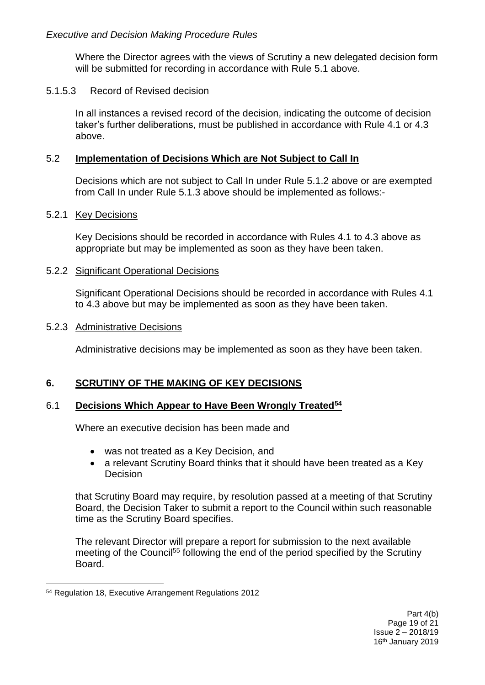Where the Director agrees with the views of Scrutiny a new delegated decision form will be submitted for recording in accordance with Rule 5.1 above.

### 5.1.5.3 Record of Revised decision

In all instances a revised record of the decision, indicating the outcome of decision taker's further deliberations, must be published in accordance with Rule 4.1 or 4.3 above.

#### 5.2 **Implementation of Decisions Which are Not Subject to Call In**

Decisions which are not subject to Call In under Rule 5.1.2 above or are exempted from Call In under Rule 5.1.3 above should be implemented as follows:-

#### 5.2.1 Key Decisions

Key Decisions should be recorded in accordance with Rules 4.1 to 4.3 above as appropriate but may be implemented as soon as they have been taken.

#### 5.2.2 Significant Operational Decisions

Significant Operational Decisions should be recorded in accordance with Rules 4.1 to 4.3 above but may be implemented as soon as they have been taken.

#### 5.2.3 Administrative Decisions

Administrative decisions may be implemented as soon as they have been taken.

### **6. SCRUTINY OF THE MAKING OF KEY DECISIONS**

### 6.1 **Decisions Which Appear to Have Been Wrongly Treated<sup>54</sup>**

Where an executive decision has been made and

- was not treated as a Key Decision, and
- a relevant Scrutiny Board thinks that it should have been treated as a Key **Decision**

that Scrutiny Board may require, by resolution passed at a meeting of that Scrutiny Board, the Decision Taker to submit a report to the Council within such reasonable time as the Scrutiny Board specifies.

The relevant Director will prepare a report for submission to the next available meeting of the Council<sup>55</sup> following the end of the period specified by the Scrutiny Board.

<u>.</u>

<sup>54</sup> Regulation 18, Executive Arrangement Regulations 2012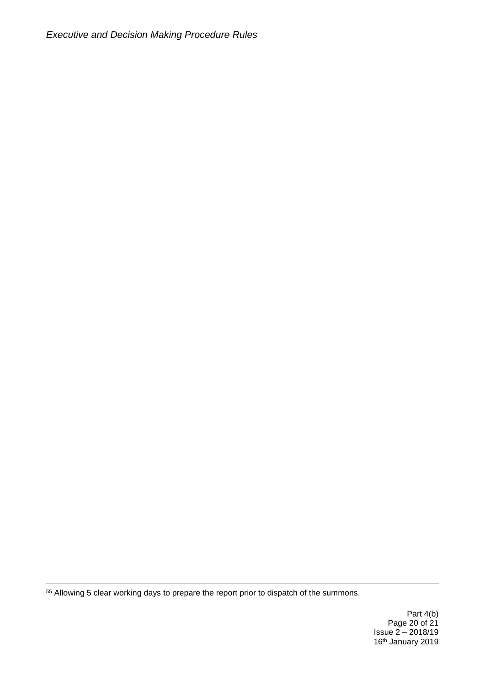*Executive and Decision Making Procedure Rules*

<sup>55</sup> Allowing 5 clear working days to prepare the report prior to dispatch of the summons.

<u>.</u>